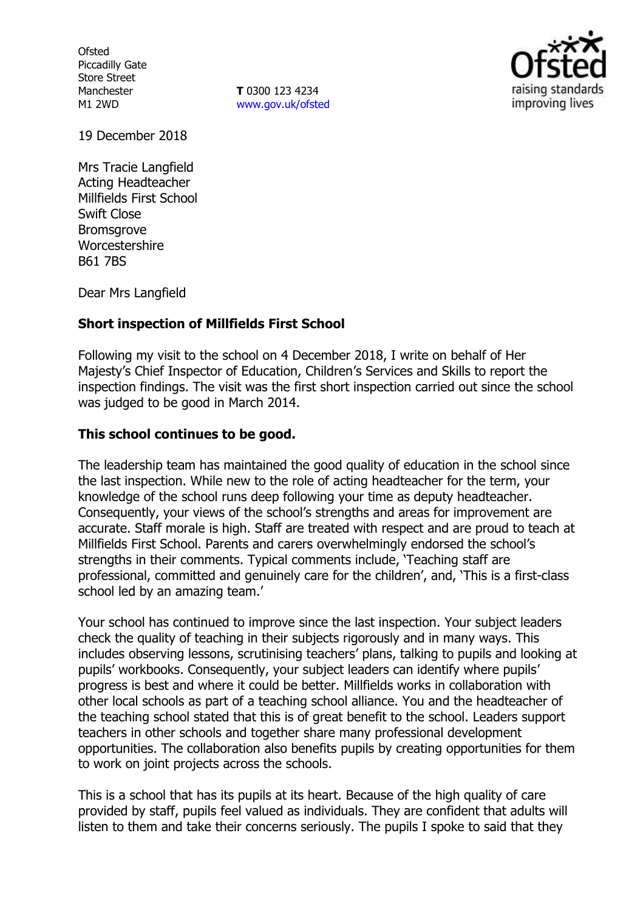**Ofsted** Piccadilly Gate Store Street Manchester M1 2WD

**T** 0300 123 4234 [www.gov.uk/ofsted](http://www.gov.uk/ofsted)



19 December 2018

Mrs Tracie Langfield Acting Headteacher Millfields First School Swift Close Bromsgrove Worcestershire B61 7BS

Dear Mrs Langfield

# **Short inspection of Millfields First School**

Following my visit to the school on 4 December 2018, I write on behalf of Her Majesty's Chief Inspector of Education, Children's Services and Skills to report the inspection findings. The visit was the first short inspection carried out since the school was judged to be good in March 2014.

# **This school continues to be good.**

The leadership team has maintained the good quality of education in the school since the last inspection. While new to the role of acting headteacher for the term, your knowledge of the school runs deep following your time as deputy headteacher. Consequently, your views of the school's strengths and areas for improvement are accurate. Staff morale is high. Staff are treated with respect and are proud to teach at Millfields First School. Parents and carers overwhelmingly endorsed the school's strengths in their comments. Typical comments include, 'Teaching staff are professional, committed and genuinely care for the children', and, 'This is a first-class school led by an amazing team.'

Your school has continued to improve since the last inspection. Your subject leaders check the quality of teaching in their subjects rigorously and in many ways. This includes observing lessons, scrutinising teachers' plans, talking to pupils and looking at pupils' workbooks. Consequently, your subject leaders can identify where pupils' progress is best and where it could be better. Millfields works in collaboration with other local schools as part of a teaching school alliance. You and the headteacher of the teaching school stated that this is of great benefit to the school. Leaders support teachers in other schools and together share many professional development opportunities. The collaboration also benefits pupils by creating opportunities for them to work on joint projects across the schools.

This is a school that has its pupils at its heart. Because of the high quality of care provided by staff, pupils feel valued as individuals. They are confident that adults will listen to them and take their concerns seriously. The pupils I spoke to said that they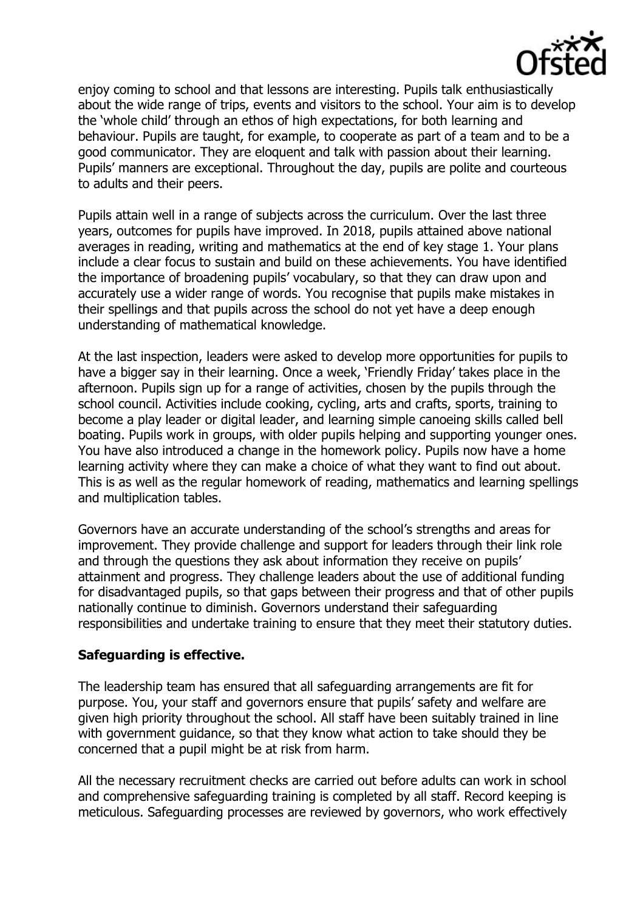

enjoy coming to school and that lessons are interesting. Pupils talk enthusiastically about the wide range of trips, events and visitors to the school. Your aim is to develop the 'whole child' through an ethos of high expectations, for both learning and behaviour. Pupils are taught, for example, to cooperate as part of a team and to be a good communicator. They are eloquent and talk with passion about their learning. Pupils' manners are exceptional. Throughout the day, pupils are polite and courteous to adults and their peers.

Pupils attain well in a range of subjects across the curriculum. Over the last three years, outcomes for pupils have improved. In 2018, pupils attained above national averages in reading, writing and mathematics at the end of key stage 1. Your plans include a clear focus to sustain and build on these achievements. You have identified the importance of broadening pupils' vocabulary, so that they can draw upon and accurately use a wider range of words. You recognise that pupils make mistakes in their spellings and that pupils across the school do not yet have a deep enough understanding of mathematical knowledge.

At the last inspection, leaders were asked to develop more opportunities for pupils to have a bigger say in their learning. Once a week, 'Friendly Friday' takes place in the afternoon. Pupils sign up for a range of activities, chosen by the pupils through the school council. Activities include cooking, cycling, arts and crafts, sports, training to become a play leader or digital leader, and learning simple canoeing skills called bell boating. Pupils work in groups, with older pupils helping and supporting younger ones. You have also introduced a change in the homework policy. Pupils now have a home learning activity where they can make a choice of what they want to find out about. This is as well as the regular homework of reading, mathematics and learning spellings and multiplication tables.

Governors have an accurate understanding of the school's strengths and areas for improvement. They provide challenge and support for leaders through their link role and through the questions they ask about information they receive on pupils' attainment and progress. They challenge leaders about the use of additional funding for disadvantaged pupils, so that gaps between their progress and that of other pupils nationally continue to diminish. Governors understand their safeguarding responsibilities and undertake training to ensure that they meet their statutory duties.

# **Safeguarding is effective.**

The leadership team has ensured that all safeguarding arrangements are fit for purpose. You, your staff and governors ensure that pupils' safety and welfare are given high priority throughout the school. All staff have been suitably trained in line with government guidance, so that they know what action to take should they be concerned that a pupil might be at risk from harm.

All the necessary recruitment checks are carried out before adults can work in school and comprehensive safeguarding training is completed by all staff. Record keeping is meticulous. Safeguarding processes are reviewed by governors, who work effectively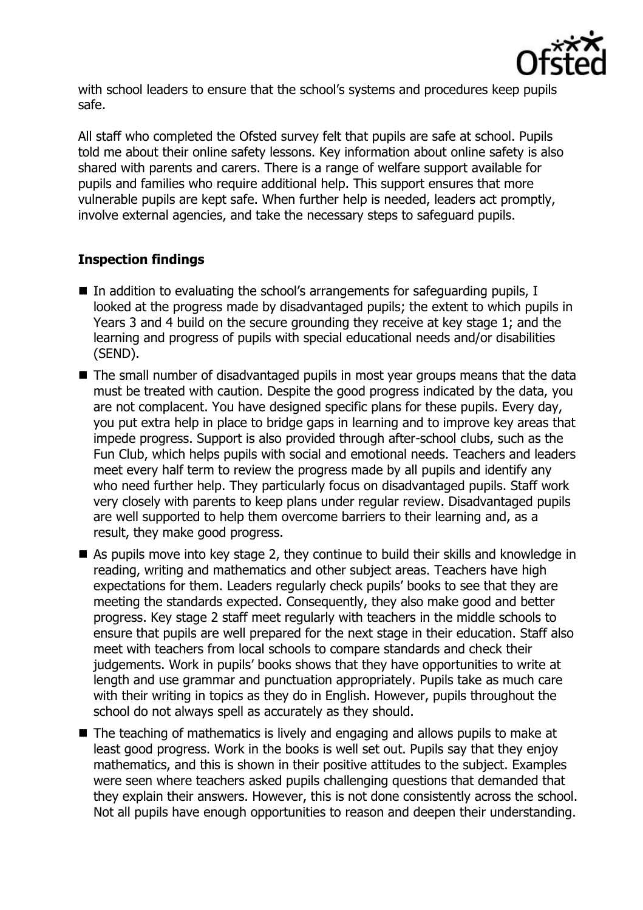

with school leaders to ensure that the school's systems and procedures keep pupils safe.

All staff who completed the Ofsted survey felt that pupils are safe at school. Pupils told me about their online safety lessons. Key information about online safety is also shared with parents and carers. There is a range of welfare support available for pupils and families who require additional help. This support ensures that more vulnerable pupils are kept safe. When further help is needed, leaders act promptly, involve external agencies, and take the necessary steps to safeguard pupils.

# **Inspection findings**

- $\blacksquare$  In addition to evaluating the school's arrangements for safeguarding pupils, I looked at the progress made by disadvantaged pupils; the extent to which pupils in Years 3 and 4 build on the secure grounding they receive at key stage 1; and the learning and progress of pupils with special educational needs and/or disabilities (SEND).
- The small number of disadvantaged pupils in most year groups means that the data must be treated with caution. Despite the good progress indicated by the data, you are not complacent. You have designed specific plans for these pupils. Every day, you put extra help in place to bridge gaps in learning and to improve key areas that impede progress. Support is also provided through after-school clubs, such as the Fun Club, which helps pupils with social and emotional needs. Teachers and leaders meet every half term to review the progress made by all pupils and identify any who need further help. They particularly focus on disadvantaged pupils. Staff work very closely with parents to keep plans under regular review. Disadvantaged pupils are well supported to help them overcome barriers to their learning and, as a result, they make good progress.
- As pupils move into key stage 2, they continue to build their skills and knowledge in reading, writing and mathematics and other subject areas. Teachers have high expectations for them. Leaders regularly check pupils' books to see that they are meeting the standards expected. Consequently, they also make good and better progress. Key stage 2 staff meet regularly with teachers in the middle schools to ensure that pupils are well prepared for the next stage in their education. Staff also meet with teachers from local schools to compare standards and check their judgements. Work in pupils' books shows that they have opportunities to write at length and use grammar and punctuation appropriately. Pupils take as much care with their writing in topics as they do in English. However, pupils throughout the school do not always spell as accurately as they should.
- The teaching of mathematics is lively and engaging and allows pupils to make at least good progress. Work in the books is well set out. Pupils say that they enjoy mathematics, and this is shown in their positive attitudes to the subject. Examples were seen where teachers asked pupils challenging questions that demanded that they explain their answers. However, this is not done consistently across the school. Not all pupils have enough opportunities to reason and deepen their understanding.